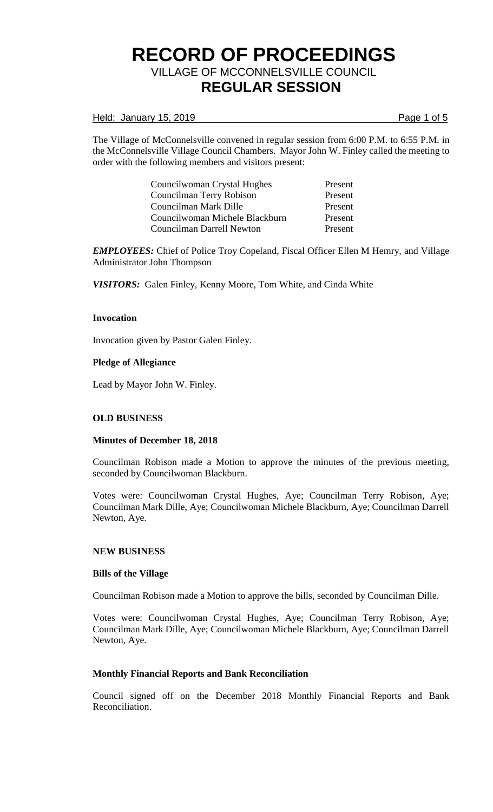Held: January 15, 2019 **Page 1 of 5** 

The Village of McConnelsville convened in regular session from 6:00 P.M. to 6:55 P.M. in the McConnelsville Village Council Chambers. Mayor John W. Finley called the meeting to order with the following members and visitors present:

| Councilwoman Crystal Hughes    | Present |
|--------------------------------|---------|
| Councilman Terry Robison       | Present |
| Councilman Mark Dille          | Present |
| Councilwoman Michele Blackburn | Present |
| Councilman Darrell Newton      | Present |

*EMPLOYEES:* Chief of Police Troy Copeland, Fiscal Officer Ellen M Hemry, and Village Administrator John Thompson

*VISITORS:* Galen Finley, Kenny Moore, Tom White, and Cinda White

## **Invocation**

Invocation given by Pastor Galen Finley.

## **Pledge of Allegiance**

Lead by Mayor John W. Finley.

## **OLD BUSINESS**

#### **Minutes of December 18, 2018**

Councilman Robison made a Motion to approve the minutes of the previous meeting, seconded by Councilwoman Blackburn.

Votes were: Councilwoman Crystal Hughes, Aye; Councilman Terry Robison, Aye; Councilman Mark Dille, Aye; Councilwoman Michele Blackburn, Aye; Councilman Darrell Newton, Aye.

#### **NEW BUSINESS**

#### **Bills of the Village**

Councilman Robison made a Motion to approve the bills, seconded by Councilman Dille.

Votes were: Councilwoman Crystal Hughes, Aye; Councilman Terry Robison, Aye; Councilman Mark Dille, Aye; Councilwoman Michele Blackburn, Aye; Councilman Darrell Newton, Aye.

#### **Monthly Financial Reports and Bank Reconciliation**

Council signed off on the December 2018 Monthly Financial Reports and Bank Reconciliation.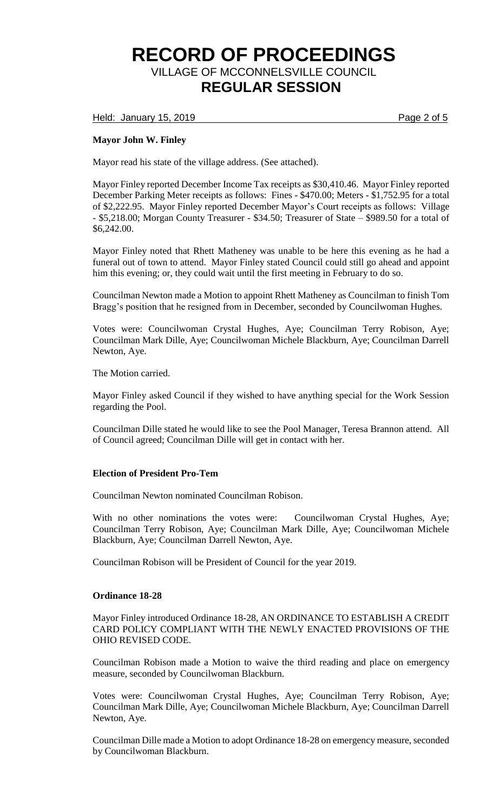Held: January 15, 2019 **Page 2 of 5** 

## **Mayor John W. Finley**

Mayor read his state of the village address. (See attached).

Mayor Finley reported December Income Tax receipts as \$30,410.46. Mayor Finley reported December Parking Meter receipts as follows: Fines - \$470.00; Meters - \$1,752.95 for a total of \$2,222.95. Mayor Finley reported December Mayor's Court receipts as follows: Village - \$5,218.00; Morgan County Treasurer - \$34.50; Treasurer of State – \$989.50 for a total of \$6,242.00.

Mayor Finley noted that Rhett Matheney was unable to be here this evening as he had a funeral out of town to attend. Mayor Finley stated Council could still go ahead and appoint him this evening; or, they could wait until the first meeting in February to do so.

Councilman Newton made a Motion to appoint Rhett Matheney as Councilman to finish Tom Bragg's position that he resigned from in December, seconded by Councilwoman Hughes.

Votes were: Councilwoman Crystal Hughes, Aye; Councilman Terry Robison, Aye; Councilman Mark Dille, Aye; Councilwoman Michele Blackburn, Aye; Councilman Darrell Newton, Aye.

The Motion carried.

Mayor Finley asked Council if they wished to have anything special for the Work Session regarding the Pool.

Councilman Dille stated he would like to see the Pool Manager, Teresa Brannon attend. All of Council agreed; Councilman Dille will get in contact with her.

## **Election of President Pro-Tem**

Councilman Newton nominated Councilman Robison.

With no other nominations the votes were: Councilwoman Crystal Hughes, Aye; Councilman Terry Robison, Aye; Councilman Mark Dille, Aye; Councilwoman Michele Blackburn, Aye; Councilman Darrell Newton, Aye.

Councilman Robison will be President of Council for the year 2019.

#### **Ordinance 18-28**

Mayor Finley introduced Ordinance 18-28, AN ORDINANCE TO ESTABLISH A CREDIT CARD POLICY COMPLIANT WITH THE NEWLY ENACTED PROVISIONS OF THE OHIO REVISED CODE.

Councilman Robison made a Motion to waive the third reading and place on emergency measure, seconded by Councilwoman Blackburn.

Votes were: Councilwoman Crystal Hughes, Aye; Councilman Terry Robison, Aye; Councilman Mark Dille, Aye; Councilwoman Michele Blackburn, Aye; Councilman Darrell Newton, Aye.

Councilman Dille made a Motion to adopt Ordinance 18-28 on emergency measure, seconded by Councilwoman Blackburn.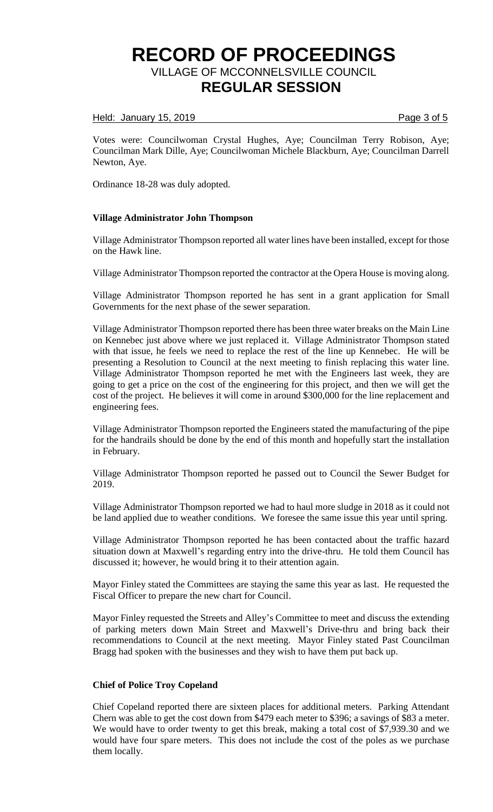### Held: January 15, 2019 **Page 3 of 5**

Votes were: Councilwoman Crystal Hughes, Aye; Councilman Terry Robison, Aye; Councilman Mark Dille, Aye; Councilwoman Michele Blackburn, Aye; Councilman Darrell Newton, Aye.

Ordinance 18-28 was duly adopted.

#### **Village Administrator John Thompson**

Village Administrator Thompson reported all water lines have been installed, except for those on the Hawk line.

Village Administrator Thompson reported the contractor at the Opera House is moving along.

Village Administrator Thompson reported he has sent in a grant application for Small Governments for the next phase of the sewer separation.

Village Administrator Thompson reported there has been three water breaks on the Main Line on Kennebec just above where we just replaced it. Village Administrator Thompson stated with that issue, he feels we need to replace the rest of the line up Kennebec. He will be presenting a Resolution to Council at the next meeting to finish replacing this water line. Village Administrator Thompson reported he met with the Engineers last week, they are going to get a price on the cost of the engineering for this project, and then we will get the cost of the project. He believes it will come in around \$300,000 for the line replacement and engineering fees.

Village Administrator Thompson reported the Engineers stated the manufacturing of the pipe for the handrails should be done by the end of this month and hopefully start the installation in February.

Village Administrator Thompson reported he passed out to Council the Sewer Budget for 2019.

Village Administrator Thompson reported we had to haul more sludge in 2018 as it could not be land applied due to weather conditions. We foresee the same issue this year until spring.

Village Administrator Thompson reported he has been contacted about the traffic hazard situation down at Maxwell's regarding entry into the drive-thru. He told them Council has discussed it; however, he would bring it to their attention again.

Mayor Finley stated the Committees are staying the same this year as last. He requested the Fiscal Officer to prepare the new chart for Council.

Mayor Finley requested the Streets and Alley's Committee to meet and discuss the extending of parking meters down Main Street and Maxwell's Drive-thru and bring back their recommendations to Council at the next meeting. Mayor Finley stated Past Councilman Bragg had spoken with the businesses and they wish to have them put back up.

#### **Chief of Police Troy Copeland**

Chief Copeland reported there are sixteen places for additional meters. Parking Attendant Chern was able to get the cost down from \$479 each meter to \$396; a savings of \$83 a meter. We would have to order twenty to get this break, making a total cost of \$7,939.30 and we would have four spare meters. This does not include the cost of the poles as we purchase them locally.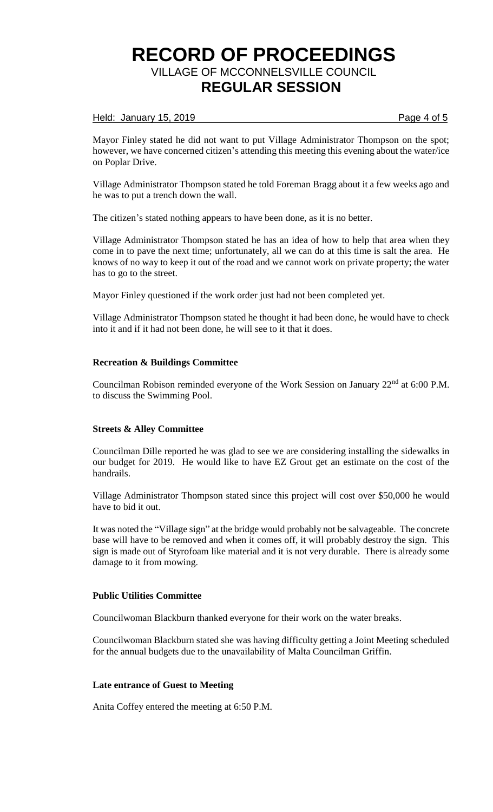### Held: January 15, 2019 **Page 4 of 5**

Mayor Finley stated he did not want to put Village Administrator Thompson on the spot; however, we have concerned citizen's attending this meeting this evening about the water/ice on Poplar Drive.

Village Administrator Thompson stated he told Foreman Bragg about it a few weeks ago and he was to put a trench down the wall.

The citizen's stated nothing appears to have been done, as it is no better.

Village Administrator Thompson stated he has an idea of how to help that area when they come in to pave the next time; unfortunately, all we can do at this time is salt the area. He knows of no way to keep it out of the road and we cannot work on private property; the water has to go to the street.

Mayor Finley questioned if the work order just had not been completed yet.

Village Administrator Thompson stated he thought it had been done, he would have to check into it and if it had not been done, he will see to it that it does.

## **Recreation & Buildings Committee**

Councilman Robison reminded everyone of the Work Session on January 22nd at 6:00 P.M. to discuss the Swimming Pool.

#### **Streets & Alley Committee**

Councilman Dille reported he was glad to see we are considering installing the sidewalks in our budget for 2019. He would like to have EZ Grout get an estimate on the cost of the handrails.

Village Administrator Thompson stated since this project will cost over \$50,000 he would have to bid it out.

It was noted the "Village sign" at the bridge would probably not be salvageable. The concrete base will have to be removed and when it comes off, it will probably destroy the sign. This sign is made out of Styrofoam like material and it is not very durable. There is already some damage to it from mowing.

## **Public Utilities Committee**

Councilwoman Blackburn thanked everyone for their work on the water breaks.

Councilwoman Blackburn stated she was having difficulty getting a Joint Meeting scheduled for the annual budgets due to the unavailability of Malta Councilman Griffin.

### **Late entrance of Guest to Meeting**

Anita Coffey entered the meeting at 6:50 P.M.